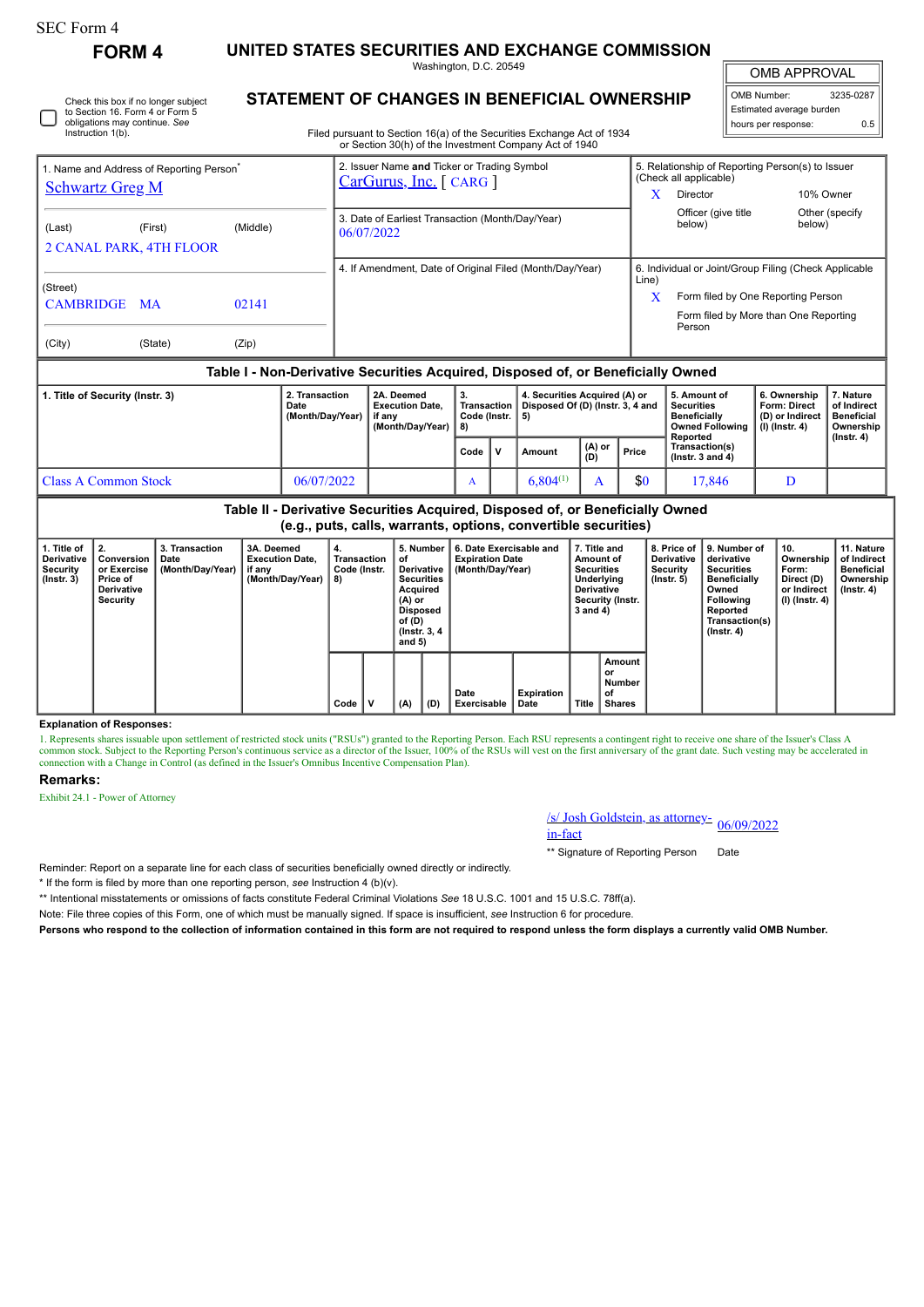## SEC Form 4

Instruction 1(b).

**FORM 4 UNITED STATES SECURITIES AND EXCHANGE COMMISSION**

Washington, D.C. 20549

OMB APPROVAL

 $\mathbb{I}$ 

| OMB Number:              | 3235-0287 |  |  |  |  |  |  |  |  |
|--------------------------|-----------|--|--|--|--|--|--|--|--|
| Estimated average burden |           |  |  |  |  |  |  |  |  |
| hours per response:      | ሰ 5       |  |  |  |  |  |  |  |  |

**STATEMENT OF CHANGES IN BENEFICIAL OWNERSHIP** Check this box if no longer subject to Section 16. Form 4 or Form 5 obligations may continue. *See*

Filed pursuant to Section 16(a) of the Securities Exchange Act of 1934 or Section 30(h) of the Investment Company Act of 1940

| 1. Name and Address of Reporting Person <sup>®</sup> |                                                                                  |          |                | 2. Issuer Name and Ticker or Trading Symbol<br>$CarGurus, Inc.$ [ CARG ] |    |                                                          | 5. Relationship of Reporting Person(s) to Issuer<br>(Check all applicable) |                                                                             |           |                 |  |  |
|------------------------------------------------------|----------------------------------------------------------------------------------|----------|----------------|--------------------------------------------------------------------------|----|----------------------------------------------------------|----------------------------------------------------------------------------|-----------------------------------------------------------------------------|-----------|-----------------|--|--|
| <b>Schwartz Greg M</b>                               |                                                                                  |          |                |                                                                          |    | X                                                        | Director                                                                   |                                                                             | 10% Owner |                 |  |  |
| (Last)<br><b>2 CANAL PARK, 4TH FLOOR</b>             | (First)                                                                          | (Middle) |                | 3. Date of Earliest Transaction (Month/Day/Year)<br>06/07/2022           |    |                                                          |                                                                            | Officer (give title<br>below)                                               | below)    | Other (specify) |  |  |
|                                                      |                                                                                  |          |                |                                                                          |    | 4. If Amendment, Date of Original Filed (Month/Day/Year) |                                                                            | 6. Individual or Joint/Group Filing (Check Applicable                       |           |                 |  |  |
| (Street)<br>CAMBRIDGE MA                             |                                                                                  | 02141    |                |                                                                          |    |                                                          | Line)<br>X                                                                 | Form filed by One Reporting Person<br>Form filed by More than One Reporting |           |                 |  |  |
| (City)                                               | (State)                                                                          | (Zip)    |                |                                                                          |    |                                                          |                                                                            | Person                                                                      |           |                 |  |  |
|                                                      | Table I - Non-Derivative Securities Acquired, Disposed of, or Beneficially Owned |          |                |                                                                          |    |                                                          |                                                                            |                                                                             |           |                 |  |  |
| 1. Title of Security (Instr. 3)                      |                                                                                  |          | 2. Transaction | 2A. Deemed                                                               | 3. | 4. Securities Acquired (A) or                            | 5. Amount of<br>6. Ownership                                               |                                                                             |           |                 |  |  |

|                      | Date<br>(Month/Dav/Year) | <b>Execution Date.</b><br>if anv<br>(Month/Day/Year) | Transaction   Disposed Of (D) (Instr. 3, 4 and<br>Code (Instr. 15)<br>  8) |    |               |               |       | ∣ Securities<br><b>Beneficially</b><br>Owned Following   (I) (Instr. 4)<br>Reported | Form: Direct<br>∣ (D) or Indirect | of Indirect<br><b>Beneficial</b><br>Ownership<br>$($ lnstr. 4 $)$ |
|----------------------|--------------------------|------------------------------------------------------|----------------------------------------------------------------------------|----|---------------|---------------|-------|-------------------------------------------------------------------------------------|-----------------------------------|-------------------------------------------------------------------|
|                      |                          |                                                      | Code                                                                       | ΙV | Amount        | (A) or<br>(D) | Price | Transaction(s)<br>( $lnstr.$ 3 and 4)                                               |                                   |                                                                   |
| Class A Common Stock | 06/07/2022               |                                                      | A                                                                          |    | $6.804^{(1)}$ |               | \$0   | 17.846                                                                              |                                   |                                                                   |

**Table II - Derivative Securities Acquired, Disposed of, or Beneficially Owned (e.g., puts, calls, warrants, options, convertible securities)**

| 1. Title of<br><b>Derivative</b><br>Security<br>$($ lnstr. 3 $)$ | 2.<br>Conversion<br>or Exercise<br>Price of<br><b>Derivative</b><br>Security | 3. Transaction<br>Date<br>(Month/Day/Year) | 3A. Deemed<br><b>Execution Date.</b><br>if any<br>(Month/Day/Year) | 4.<br>Transaction<br>Code (Instr.<br>8) |             | 5. Number<br>6. Date Exercisable and<br><b>Expiration Date</b><br>οf<br>(Month/Day/Year)<br>Derivative  <br><b>Securities</b><br>Acquired<br>$(A)$ or<br><b>Disposed</b><br>of (D)<br>(Instr. 3, 4)<br>and $5)$<br>Date<br>(D)<br>(A)<br>Exercisable<br>Date |  | 7. Title and<br>Amount of<br><b>Securities</b><br><b>Derivative</b><br>3 and 4) | Underlying<br>Security (Instr. | 8. Price of<br><b>Derivative</b><br>Security<br>(Instr. 5) | 9. Number of<br>derivative<br><b>Securities</b><br><b>Beneficially</b><br>Owned<br><b>Following</b><br>Reported<br>Transaction(s)<br>$($ lnstr. 4 $)$ | 10.<br>Ownership<br>Form:<br>Direct (D)<br>or Indirect<br>(I) (Instr. 4) | 11. Nature<br>of Indirect<br><b>Beneficial</b><br>Ownership<br>$($ lnstr. 4 $)$ |
|------------------------------------------------------------------|------------------------------------------------------------------------------|--------------------------------------------|--------------------------------------------------------------------|-----------------------------------------|-------------|--------------------------------------------------------------------------------------------------------------------------------------------------------------------------------------------------------------------------------------------------------------|--|---------------------------------------------------------------------------------|--------------------------------|------------------------------------------------------------|-------------------------------------------------------------------------------------------------------------------------------------------------------|--------------------------------------------------------------------------|---------------------------------------------------------------------------------|
|                                                                  |                                                                              |                                            |                                                                    | Code                                    | $\mathbf v$ |                                                                                                                                                                                                                                                              |  |                                                                                 | Expiration                     | Title                                                      | Amount<br>or<br>Number<br>of<br><b>Shares</b>                                                                                                         |                                                                          |                                                                                 |

### **Explanation of Responses:**

1. Represents shares issuable upon settlement of restricted stock units ("RSUs") granted to the Reporting Person. Each RSU represents a contingent right to receive one share of the Issuer's Class A common stock. Subject to connection with a Change in Control (as defined in the Issuer's Omnibus Incentive Compensation Plan).

#### **Remarks:**

Exhibit 24.1 - Power of Attorney

# /s/ Josh Goldstein, as attorney-<br>in-fact

\*\* Signature of Reporting Person Date

Reminder: Report on a separate line for each class of securities beneficially owned directly or indirectly.

\* If the form is filed by more than one reporting person, *see* Instruction 4 (b)(v).

\*\* Intentional misstatements or omissions of facts constitute Federal Criminal Violations *See* 18 U.S.C. 1001 and 15 U.S.C. 78ff(a).

Note: File three copies of this Form, one of which must be manually signed. If space is insufficient, *see* Instruction 6 for procedure.

**Persons who respond to the collection of information contained in this form are not required to respond unless the form displays a currently valid OMB Number.**